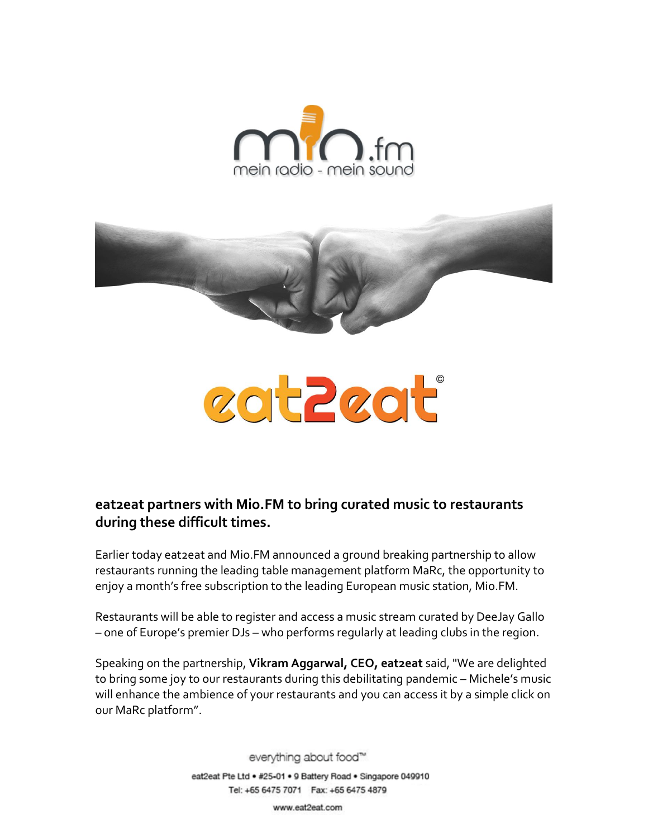



# zot Zzot

# **eat2eat partners with Mio.FM to bring curated music to restaurants during these difficult times.**

Earlier today eat2eat and Mio.FM announced a ground breaking partnership to allow restaurants running the leading table management platform MaRc, the opportunity to enjoy a month's free subscription to the leading European music station, Mio.FM.

Restaurants will be able to register and access a music stream curated by DeeJay Gallo – one of Europe's premier DJs – who performs regularly at leading clubs in the region.

Speaking on the partnership, **Vikram Aggarwal, CEO, eat2eat** said, "We are delighted to bring some joy to our restaurants during this debilitating pandemic – Michele's music will enhance the ambience of your restaurants and you can access it by a simple click on our MaRc platform".

> everything about food™ eat2eat Pte Ltd . #25-01 . 9 Battery Road . Singapore 049910 Tel: +65 6475 7071 Fax: +65 6475 4879

> > www.eat2eat.com